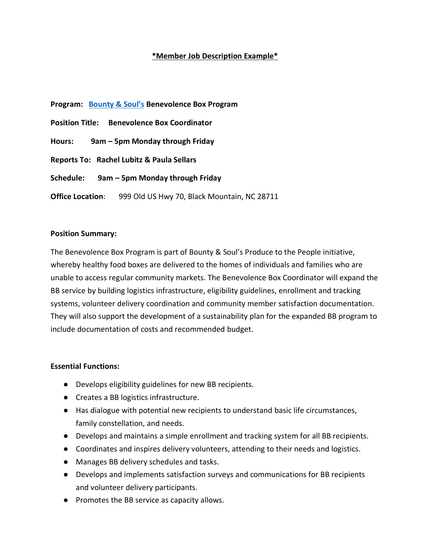## **\*Member Job Description Example\***

**Program: [Bounty & Soul's](https://bountyandsoul.org/?gclid=CjwKCAjwur-SBhB6EiwA5sKtjgFDE4QLoTp4IxijGEypnqOvmkcVM5AFdSWxNyG5Metpx9xfYoTmsxoChcAQAvD_BwE) Benevolence Box Program Position Title: Benevolence Box Coordinator Hours: 9am – 5pm Monday through Friday Reports To: Rachel Lubitz & Paula Sellars Schedule: 9am – 5pm Monday through Friday Office Location:** 999 Old US Hwy 70, Black Mountain, NC 28711

### **Position Summary:**

The Benevolence Box Program is part of Bounty & Soul's Produce to the People initiative, whereby healthy food boxes are delivered to the homes of individuals and families who are unable to access regular community markets. The Benevolence Box Coordinator will expand the BB service by building logistics infrastructure, eligibility guidelines, enrollment and tracking systems, volunteer delivery coordination and community member satisfaction documentation. They will also support the development of a sustainability plan for the expanded BB program to include documentation of costs and recommended budget.

#### **Essential Functions:**

- Develops eligibility guidelines for new BB recipients.
- Creates a BB logistics infrastructure.
- Has dialogue with potential new recipients to understand basic life circumstances, family constellation, and needs.
- Develops and maintains a simple enrollment and tracking system for all BB recipients.
- Coordinates and inspires delivery volunteers, attending to their needs and logistics.
- Manages BB delivery schedules and tasks.
- Develops and implements satisfaction surveys and communications for BB recipients and volunteer delivery participants.
- Promotes the BB service as capacity allows.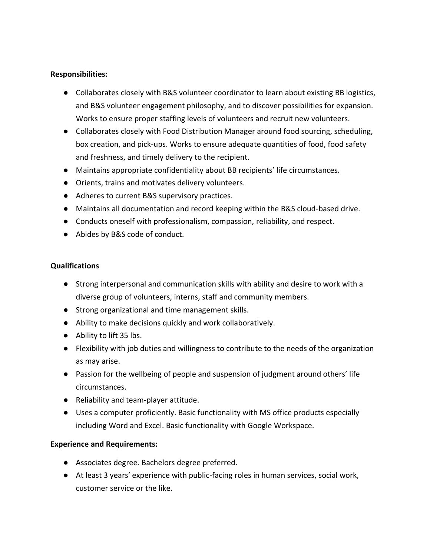### **Responsibilities:**

- Collaborates closely with B&S volunteer coordinator to learn about existing BB logistics, and B&S volunteer engagement philosophy, and to discover possibilities for expansion. Works to ensure proper staffing levels of volunteers and recruit new volunteers.
- Collaborates closely with Food Distribution Manager around food sourcing, scheduling, box creation, and pick-ups. Works to ensure adequate quantities of food, food safety and freshness, and timely delivery to the recipient.
- Maintains appropriate confidentiality about BB recipients' life circumstances.
- Orients, trains and motivates delivery volunteers.
- Adheres to current B&S supervisory practices.
- Maintains all documentation and record keeping within the B&S cloud-based drive.
- Conducts oneself with professionalism, compassion, reliability, and respect.
- Abides by B&S code of conduct.

## **Qualifications**

- Strong interpersonal and communication skills with ability and desire to work with a diverse group of volunteers, interns, staff and community members.
- Strong organizational and time management skills.
- Ability to make decisions quickly and work collaboratively.
- Ability to lift 35 lbs.
- Flexibility with job duties and willingness to contribute to the needs of the organization as may arise.
- Passion for the wellbeing of people and suspension of judgment around others' life circumstances.
- Reliability and team-player attitude.
- Uses a computer proficiently. Basic functionality with MS office products especially including Word and Excel. Basic functionality with Google Workspace.

# **Experience and Requirements:**

- Associates degree. Bachelors degree preferred.
- At least 3 years' experience with public-facing roles in human services, social work, customer service or the like.